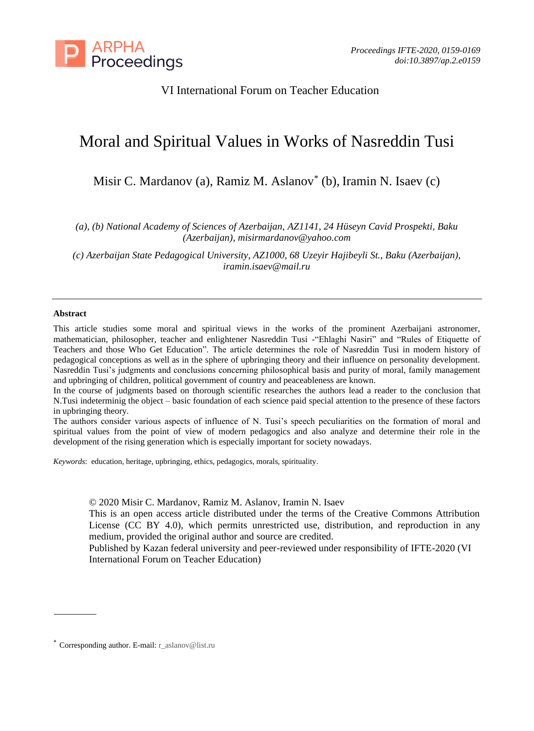

# VI International Forum on Teacher Education

# Moral and Spiritual Values in Works of Nasreddin Tusi

Misir C. Mardanov (a), Ramiz M. Aslanov\* (b), Iramin N. Isaev (c)

*(a), (b) National Academy of Sciences of Azerbaijan, AZ1141, 24 Hüseyn Cavid Prospekti, Baku (Azerbaijan), [misirmardanov@yahoo.com](mailto:misirmardanov@yahoo.com)*

*(c) Azerbaijan State Pedagogical University, AZ1000, 68 Uzeyir Hajibeyli St., Baku (Azerbaijan), [iramin.isaev@mail.ru](mailto:iramin.isaev@mail.ru)*

#### **Abstract**

This article studies some moral and spiritual views in the works of the prominent Azerbaijani astronomer, mathematician, philosopher, teacher and enlightener Nasreddin Tusi -"Ehlaghi Nasiri" and "Rules of Etiquette of Teachers and those Who Get Education". The article determines the role of Nasreddin Tusi in modern history of pedagogical conceptions as well as in the sphere of upbringing theory and their influence on personality development. Nasreddin Tusi's judgments and conclusions concerning philosophical basis and purity of moral, family management and upbringing of children, political government of country and peaceableness are known.

In the course of judgments based on thorough scientific researches the authors lead a reader to the conclusion that N.Tusi indeterminig the object – basic foundation of each science paid special attention to the presence of these factors in upbringing theory.

The authors consider various aspects of influence of N. Tusi's speech peculiarities on the formation of moral and spiritual values from the point of view of modern pedagogics and also analyze and determine their role in the development of the rising generation which is especially important for society nowadays.

*Keywords*: education, heritage, upbringing, ethics, pedagogics, morals, spirituality.

© 2020 Misir C. Mardanov, Ramiz M. Aslanov, Iramin N. Isaev

This is an open access article distributed under the terms of the Creative Commons Attribution License (CC BY 4.0), which permits unrestricted use, distribution, and reproduction in any medium, provided the original author and source are credited.

Published by Kazan federal university and peer-reviewed under responsibility of IFTE-2020 (VI International Forum on Teacher Education)

<sup>\*</sup> Corresponding author. E-mail: r\_aslanov@list.ru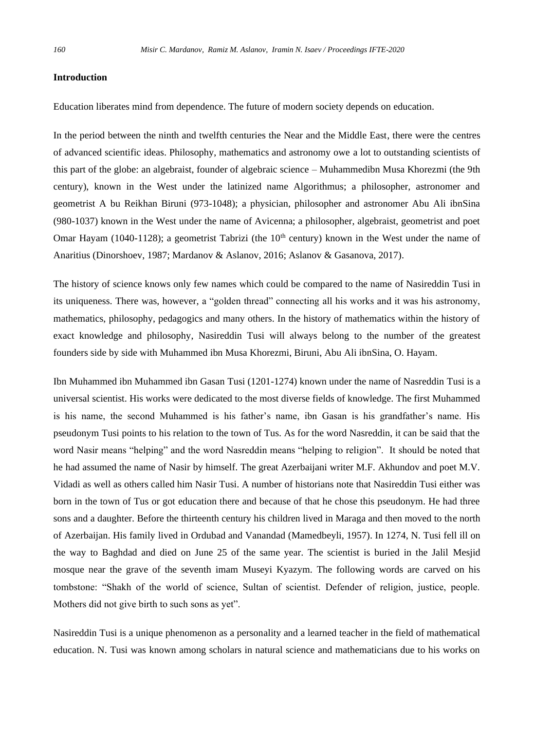## **Introduction**

Education liberates mind from dependence. The future of modern society depends on education.

In the period between the ninth and twelfth centuries the Near and the Middle East, there were the centres of advanced scientific ideas. Philosophy, mathematics and astronomy owe a lot to outstanding scientists of this part of the globe: an algebraist, founder of algebraic science – Muhammedibn Musa Khorezmi (the 9th century), known in the West under the latinized name Algorithmus; a philosopher, astronomer and geometrist A bu Reikhan Biruni (973-1048); a physician, philosopher and astronomer Abu Ali ibnSina (980-1037) known in the West under the name of Avicenna; a philosopher, algebraist, geometrist and poet Omar Hayam (1040-1128); a geometrist Tabrizi (the  $10<sup>th</sup>$  century) known in the West under the name of Anaritius (Dinorshoev, 1987; Mardanov & Aslanov, 2016; Aslanov & Gasanova, 2017).

The history of science knows only few names which could be compared to the name of Nasireddin Tusi in its uniqueness. There was, however, a "golden thread" connecting all his works and it was his astronomy, mathematics, philosophy, pedagogics and many others. In the history of mathematics within the history of exact knowledge and philosophy, Nasireddin Tusi will always belong to the number of the greatest founders side by side with Muhammed ibn Musa Khorezmi, Biruni, Abu Ali ibnSina, O. Hayam.

Ibn Muhammed ibn Muhammed ibn Gasan Tusi (1201-1274) known under the name of Nasreddin Tusi is a universal scientist. His works were dedicated to the most diverse fields of knowledge. The first Muhammed is his name, the second Muhammed is his father's name, ibn Gasan is his grandfather's name. His pseudonym Tusi points to his relation to the town of Tus. As for the word Nasreddin, it can be said that the word Nasir means "helping" and the word Nasreddin means "helping to religion". It should be noted that he had assumed the name of Nasir by himself. The great Azerbaijani writer M.F. Akhundov and poet M.V. Vidadi as well as others called him Nasir Tusi. A number of historians note that Nasireddin Tusi either was born in the town of Tus or got education there and because of that he chose this pseudonym. He had three sons and a daughter. Before the thirteenth century his children lived in Maraga and then moved to the north of Azerbaijan. His family lived in Ordubad and Vanandad (Mamedbeyli, 1957). In 1274, N. Tusi fell ill on the way to Baghdad and died on June 25 of the same year. The scientist is buried in the Jalil Mesjid mosque near the grave of the seventh imam Museyi Kyazym. The following words are carved on his tombstone: "Shakh of the world of science, Sultan of scientist. Defender of religion, justice, people. Mothers did not give birth to such sons as yet".

Nasireddin Tusi is a unique phenomenon as a personality and a learned teacher in the field of mathematical education. N. Tusi was known among scholars in natural science and mathematicians due to his works on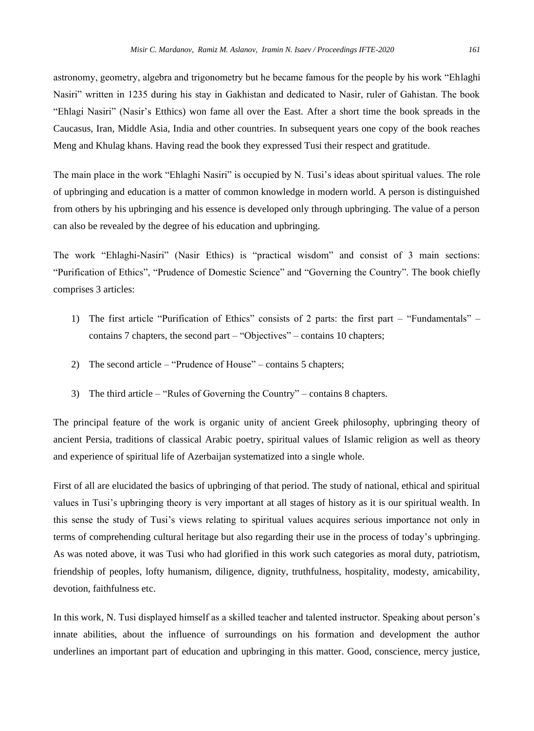astronomy, geometry, algebra and trigonometry but he became famous for the people by his work "Ehlaghi Nasiri" written in 1235 during his stay in Gakhistan and dedicated to Nasir, ruler of Gahistan. The book "Ehlagi Nasiri" (Nasir's Etthics) won fame all over the East. After a short time the book spreads in the Caucasus, Iran, Middle Asia, India and other countries. In subsequent years one copy of the book reaches Meng and Khulag khans. Having read the book they expressed Tusi their respect and gratitude.

The main place in the work "Ehlaghi Nasiri" is occupied by N. Tusi's ideas about spiritual values. The role of upbringing and education is a matter of common knowledge in modern world. A person is distinguished from others by his upbringing and his essence is developed only through upbringing. The value of a person can also be revealed by the degree of his education and upbringing.

The work "Ehlaghi-Nasiri" (Nasir Ethics) is "practical wisdom" and consist of 3 main sections: "Purification of Ethics", "Prudence of Domestic Science" and "Governing the Country". The book chiefly comprises 3 articles:

- 1) The first article "Purification of Ethics" consists of 2 parts: the first part "Fundamentals" contains 7 chapters, the second part – "Objectives" – contains 10 chapters;
- 2) The second article "Prudence of House" contains 5 chapters;
- 3) The third article "Rules of Governing the Country" contains 8 chapters.

The principal feature of the work is organic unity of ancient Greek philosophy, upbringing theory of ancient Persia, traditions of classical Arabic poetry, spiritual values of Islamic religion as well as theory and experience of spiritual life of Azerbaijan systematized into a single whole.

First of all are elucidated the basics of upbringing of that period. The study of national, ethical and spiritual values in Tusi's upbringing theory is very important at all stages of history as it is our spiritual wealth. In this sense the study of Tusi's views relating to spiritual values acquires serious importance not only in terms of comprehending cultural heritage but also regarding their use in the process of today's upbringing. As was noted above, it was Tusi who had glorified in this work such categories as moral duty, patriotism, friendship of peoples, lofty humanism, diligence, dignity, truthfulness, hospitality, modesty, amicability, devotion, faithfulness etc.

In this work, N. Tusi displayed himself as a skilled teacher and talented instructor. Speaking about person's innate abilities, about the influence of surroundings on his formation and development the author underlines an important part of education and upbringing in this matter. Good, conscience, mercy justice,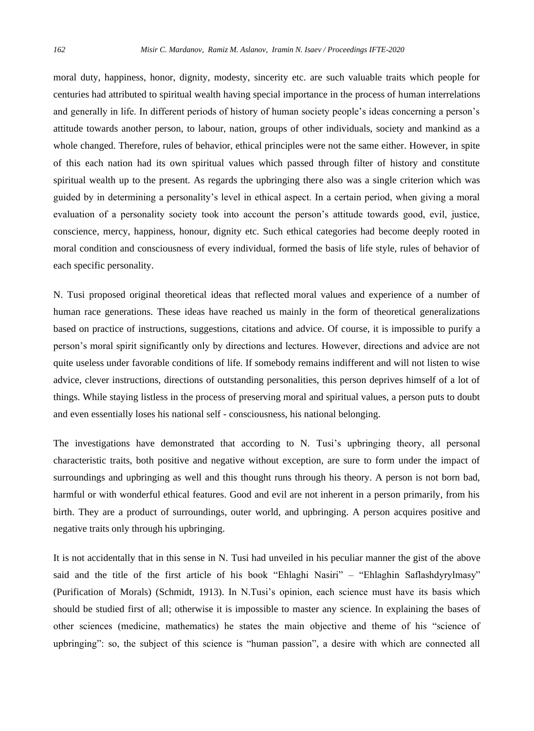moral duty, happiness, honor, dignity, modesty, sincerity etc. are such valuable traits which people for centuries had attributed to spiritual wealth having special importance in the process of human interrelations and generally in life. In different periods of history of human society people's ideas concerning a person's attitude towards another person, to labour, nation, groups of other individuals, society and mankind as a whole changed. Therefore, rules of behavior, ethical principles were not the same either. However, in spite of this each nation had its own spiritual values which passed through filter of history and constitute spiritual wealth up to the present. As regards the upbringing there also was a single criterion which was guided by in determining a personality's level in ethical aspect. In a certain period, when giving a moral evaluation of a personality society took into account the person's attitude towards good, evil, justice, conscience, mercy, happiness, honour, dignity etc. Such ethical categories had become deeply rooted in moral condition and consciousness of every individual, formed the basis of life style, rules of behavior of each specific personality.

N. Tusi proposed original theoretical ideas that reflected moral values and experience of a number of human race generations. These ideas have reached us mainly in the form of theoretical generalizations based on practice of instructions, suggestions, citations and advice. Of course, it is impossible to purify a person's moral spirit significantly only by directions and lectures. However, directions and advice are not quite useless under favorable conditions of life. If somebody remains indifferent and will not listen to wise advice, clever instructions, directions of outstanding personalities, this person deprives himself of a lot of things. While staying listless in the process of preserving moral and spiritual values, a person puts to doubt and even essentially loses his national self - consciousness, his national belonging.

The investigations have demonstrated that according to N. Tusi's upbringing theory, all personal characteristic traits, both positive and negative without exception, are sure to form under the impact of surroundings and upbringing as well and this thought runs through his theory. A person is not born bad, harmful or with wonderful ethical features. Good and evil are not inherent in a person primarily, from his birth. They are a product of surroundings, outer world, and upbringing. A person acquires positive and negative traits only through his upbringing.

It is not accidentally that in this sense in N. Tusi had unveiled in his peculiar manner the gist of the above said and the title of the first article of his book "Ehlaghi Nasiri" – "Ehlaghin Saflashdyrylmasy" (Purification of Morals) (Schmidt, 1913). In N.Tusi's opinion, each science must have its basis which should be studied first of all; otherwise it is impossible to master any science. In explaining the bases of other sciences (medicine, mathematics) he states the main objective and theme of his "science of upbringing": so, the subject of this science is "human passion", a desire with which are connected all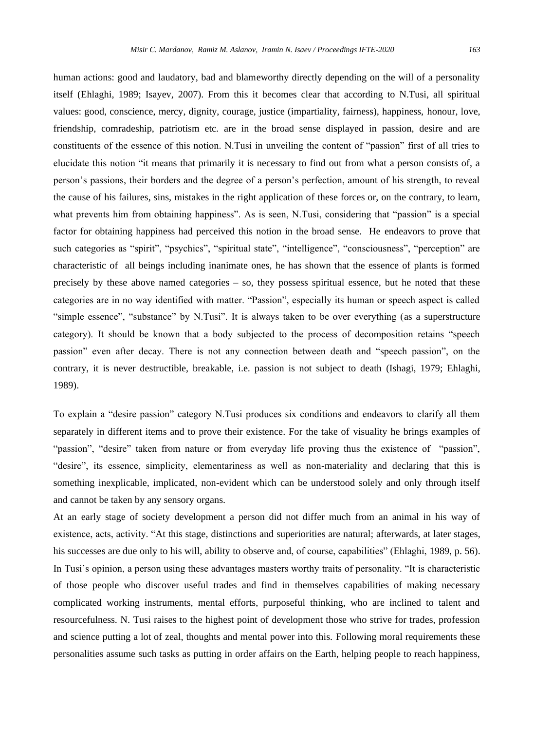human actions: good and laudatory, bad and blameworthy directly depending on the will of a personality itself (Ehlaghi, 1989; Isayev, 2007). From this it becomes clear that according to N.Tusi, all spiritual values: good, conscience, mercy, dignity, courage, justice (impartiality, fairness), happiness, honour, love, friendship, comradeship, patriotism etc. are in the broad sense displayed in passion, desire and are constituents of the essence of this notion. N.Tusi in unveiling the content of "passion" first of all tries to elucidate this notion "it means that primarily it is necessary to find out from what a person consists of, a person's passions, their borders and the degree of a person's perfection, amount of his strength, to reveal the cause of his failures, sins, mistakes in the right application of these forces or, on the contrary, to learn, what prevents him from obtaining happiness". As is seen, N.Tusi, considering that "passion" is a special factor for obtaining happiness had perceived this notion in the broad sense. He endeavors to prove that such categories as "spirit", "psychics", "spiritual state", "intelligence", "consciousness", "perception" are characteristic of all beings including inanimate ones, he has shown that the essence of plants is formed precisely by these above named categories – so, they possess spiritual essence, but he noted that these categories are in no way identified with matter. "Passion", especially its human or speech aspect is called "simple essence", "substance" by N.Tusi". It is always taken to be over everything (as a superstructure category). It should be known that a body subjected to the process of decomposition retains "speech passion" even after decay. There is not any connection between death and "speech passion", on the contrary, it is never destructible, breakable, i.e. passion is not subject to death (Ishagi, 1979; Ehlaghi, 1989).

To explain a "desire passion" category N.Tusi produces six conditions and endeavors to clarify all them separately in different items and to prove their existence. For the take of visuality he brings examples of "passion", "desire" taken from nature or from everyday life proving thus the existence of "passion", "desire", its essence, simplicity, elementariness as well as non-materiality and declaring that this is something inexplicable, implicated, non-evident which can be understood solely and only through itself and cannot be taken by any sensory organs.

At an early stage of society development a person did not differ much from an animal in his way of existence, acts, activity. "At this stage, distinctions and superiorities are natural; afterwards, at later stages, his successes are due only to his will, ability to observe and, of course, capabilities" (Ehlaghi, 1989, p. 56). In Tusi's opinion, a person using these advantages masters worthy traits of personality. "It is characteristic of those people who discover useful trades and find in themselves capabilities of making necessary complicated working instruments, mental efforts, purposeful thinking, who are inclined to talent and resourcefulness. N. Tusi raises to the highest point of development those who strive for trades, profession and science putting a lot of zeal, thoughts and mental power into this. Following moral requirements these personalities assume such tasks as putting in order affairs on the Earth, helping people to reach happiness,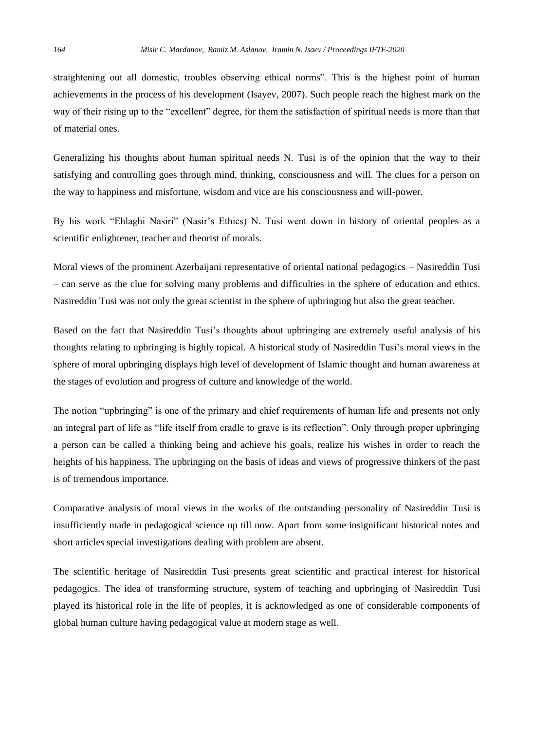straightening out all domestic, troubles observing ethical norms". This is the highest point of human achievements in the process of his development (Isayev, 2007). Such people reach the highest mark on the way of their rising up to the "excellent" degree, for them the satisfaction of spiritual needs is more than that of material ones.

Generalizing his thoughts about human spiritual needs N. Tusi is of the opinion that the way to their satisfying and controlling goes through mind, thinking, consciousness and will. The clues for a person on the way to happiness and misfortune, wisdom and vice are his consciousness and will-power.

By his work "Ehlaghi Nasiri" (Nasir's Ethics) N. Tusi went down in history of oriental peoples as a scientific enlightener, teacher and theorist of morals.

Moral views of the prominent Azerbaijani representative of oriental national pedagogics – Nasireddin Tusi – can serve as the clue for solving many problems and difficulties in the sphere of education and ethics. Nasireddin Tusi was not only the great scientist in the sphere of upbringing but also the great teacher.

Based on the fact that Nasireddin Tusi's thoughts about upbringing are extremely useful analysis of his thoughts relating to upbringing is highly topical. A historical study of Nasireddin Tusi's moral views in the sphere of moral upbringing displays high level of development of Islamic thought and human awareness at the stages of evolution and progress of culture and knowledge of the world.

The notion "upbringing" is one of the primary and chief requirements of human life and presents not only an integral part of life as "life itself from cradle to grave is its reflection". Only through proper upbringing a person can be called a thinking being and achieve his goals, realize his wishes in order to reach the heights of his happiness. The upbringing on the basis of ideas and views of progressive thinkers of the past is of tremendous importance.

Comparative analysis of moral views in the works of the outstanding personality of Nasireddin Tusi is insufficiently made in pedagogical science up till now. Apart from some insignificant historical notes and short articles special investigations dealing with problem are absent.

The scientific heritage of Nasireddin Tusi presents great scientific and practical interest for historical pedagogics. The idea of transforming structure, system of teaching and upbringing of Nasireddin Tusi played its historical role in the life of peoples, it is acknowledged as one of considerable components of global human culture having pedagogical value at modern stage as well.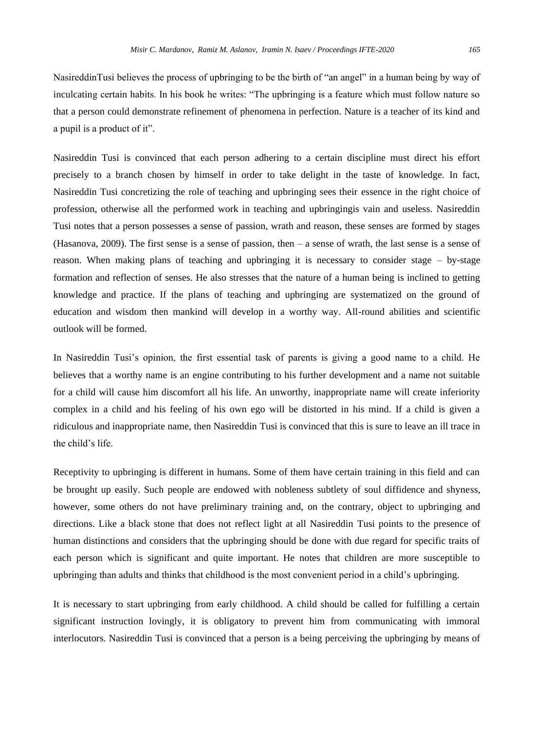NasireddinTusi believes the process of upbringing to be the birth of "an angel" in a human being by way of inculcating certain habits. In his book he writes: "The upbringing is a feature which must follow nature so that a person could demonstrate refinement of phenomena in perfection. Nature is a teacher of its kind and a pupil is a product of it".

Nasireddin Tusi is convinced that each person adhering to a certain discipline must direct his effort precisely to a branch chosen by himself in order to take delight in the taste of knowledge. In fact, Nasireddin Tusi concretizing the role of teaching and upbringing sees their essence in the right choice of profession, otherwise all the performed work in teaching and upbringingis vain and useless. Nasireddin Tusi notes that a person possesses a sense of passion, wrath and reason, these senses are formed by stages (Hasanova, 2009). The first sense is a sense of passion, then – a sense of wrath, the last sense is a sense of reason. When making plans of teaching and upbringing it is necessary to consider stage – by-stage formation and reflection of senses. He also stresses that the nature of a human being is inclined to getting knowledge and practice. If the plans of teaching and upbringing are systematized on the ground of education and wisdom then mankind will develop in a worthy way. All-round abilities and scientific outlook will be formed.

In Nasireddin Tusi's opinion, the first essential task of parents is giving a good name to a child. He believes that a worthy name is an engine contributing to his further development and a name not suitable for a child will cause him discomfort all his life. An unworthy, inappropriate name will create inferiority complex in a child and his feeling of his own ego will be distorted in his mind. If a child is given a ridiculous and inappropriate name, then Nasireddin Tusi is convinced that this is sure to leave an ill trace in the child's life.

Receptivity to upbringing is different in humans. Some of them have certain training in this field and can be brought up easily. Such people are endowed with nobleness subtlety of soul diffidence and shyness, however, some others do not have preliminary training and, on the contrary, object to upbringing and directions. Like a black stone that does not reflect light at all Nasireddin Tusi points to the presence of human distinctions and considers that the upbringing should be done with due regard for specific traits of each person which is significant and quite important. He notes that children are more susceptible to upbringing than adults and thinks that childhood is the most convenient period in a child's upbringing.

It is necessary to start upbringing from early childhood. A child should be called for fulfilling a certain significant instruction lovingly, it is obligatory to prevent him from communicating with immoral interlocutors. Nasireddin Tusi is convinced that a person is a being perceiving the upbringing by means of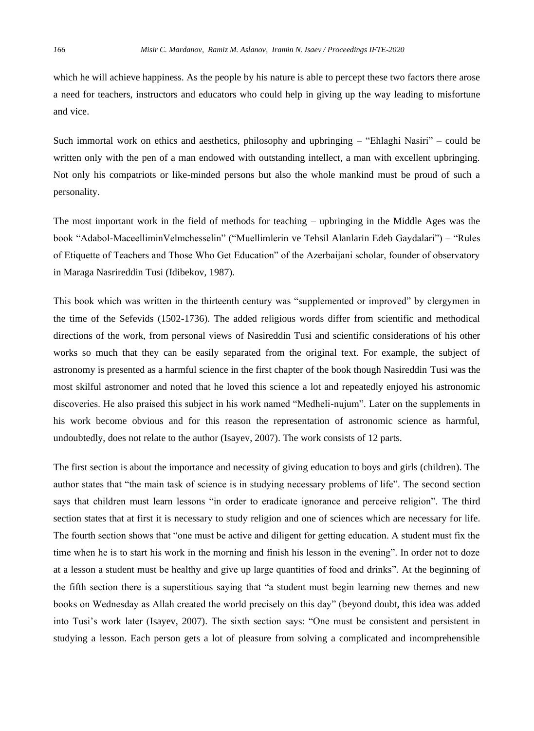which he will achieve happiness. As the people by his nature is able to percept these two factors there arose a need for teachers, instructors and educators who could help in giving up the way leading to misfortune and vice.

Such immortal work on ethics and aesthetics, philosophy and upbringing – "Ehlaghi Nasiri" – could be written only with the pen of a man endowed with outstanding intellect, a man with excellent upbringing. Not only his compatriots or like-minded persons but also the whole mankind must be proud of such a personality.

The most important work in the field of methods for teaching – upbringing in the Middle Ages was the book "Adabol-MaceelliminVelmchesselin" ("Muellimlerin ve Tehsil Alanlarin Edeb Gaydalari") – "Rules of Etiquette of Teachers and Those Who Get Education" of the Azerbaijani scholar, founder of observatory in Maraga Nasrireddin Tusi (Idibekov, 1987).

This book which was written in the thirteenth century was "supplemented or improved" by clergymen in the time of the Sefevids (1502-1736). The added religious words differ from scientific and methodical directions of the work, from personal views of Nasireddin Tusi and scientific considerations of his other works so much that they can be easily separated from the original text. For example, the subject of astronomy is presented as a harmful science in the first chapter of the book though Nasireddin Tusi was the most skilful astronomer and noted that he loved this science a lot and repeatedly enjoyed his astronomic discoveries. He also praised this subject in his work named "Medheli-nujum". Later on the supplements in his work become obvious and for this reason the representation of astronomic science as harmful, undoubtedly, does not relate to the author (Isayev, 2007). The work consists of 12 parts.

The first section is about the importance and necessity of giving education to boys and girls (children). The author states that "the main task of science is in studying necessary problems of life". The second section says that children must learn lessons "in order to eradicate ignorance and perceive religion". The third section states that at first it is necessary to study religion and one of sciences which are necessary for life. The fourth section shows that "one must be active and diligent for getting education. A student must fix the time when he is to start his work in the morning and finish his lesson in the evening". In order not to doze at a lesson a student must be healthy and give up large quantities of food and drinks". At the beginning of the fifth section there is a superstitious saying that "a student must begin learning new themes and new books on Wednesday as Allah created the world precisely on this day" (beyond doubt, this idea was added into Tusi's work later (Isayev, 2007). The sixth section says: "One must be consistent and persistent in studying a lesson. Each person gets a lot of pleasure from solving a complicated and incomprehensible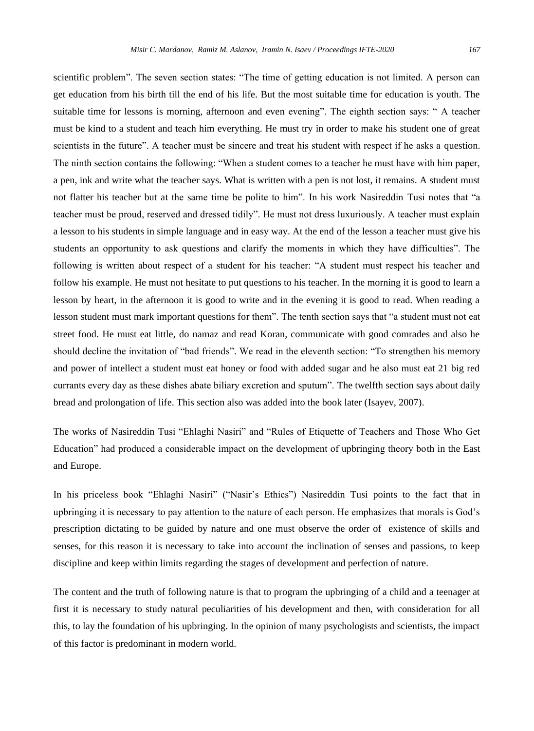scientific problem". The seven section states: "The time of getting education is not limited. A person can get education from his birth till the end of his life. But the most suitable time for education is youth. The suitable time for lessons is morning, afternoon and even evening". The eighth section says: " A teacher must be kind to a student and teach him everything. He must try in order to make his student one of great scientists in the future". A teacher must be sincere and treat his student with respect if he asks a question. The ninth section contains the following: "When a student comes to a teacher he must have with him paper, a pen, ink and write what the teacher says. What is written with a pen is not lost, it remains. A student must not flatter his teacher but at the same time be polite to him". In his work Nasireddin Tusi notes that "a teacher must be proud, reserved and dressed tidily". He must not dress luxuriously. A teacher must explain a lesson to his students in simple language and in easy way. At the end of the lesson a teacher must give his students an opportunity to ask questions and clarify the moments in which they have difficulties". The following is written about respect of a student for his teacher: "A student must respect his teacher and follow his example. He must not hesitate to put questions to his teacher. In the morning it is good to learn a lesson by heart, in the afternoon it is good to write and in the evening it is good to read. When reading a lesson student must mark important questions for them". The tenth section says that "a student must not eat street food. He must eat little, do namaz and read Koran, communicate with good comrades and also he should decline the invitation of "bad friends". We read in the eleventh section: "To strengthen his memory and power of intellect a student must eat honey or food with added sugar and he also must eat 21 big red currants every day as these dishes abate biliary excretion and sputum". The twelfth section says about daily bread and prolongation of life. This section also was added into the book later (Isayev, 2007).

The works of Nasireddin Tusi "Ehlaghi Nasiri" and "Rules of Etiquette of Teachers and Those Who Get Education" had produced a considerable impact on the development of upbringing theory both in the East and Europe.

In his priceless book "Ehlaghi Nasiri" ("Nasir's Ethics") Nasireddin Tusi points to the fact that in upbringing it is necessary to pay attention to the nature of each person. He emphasizes that morals is God's prescription dictating to be guided by nature and one must observe the order of existence of skills and senses, for this reason it is necessary to take into account the inclination of senses and passions, to keep discipline and keep within limits regarding the stages of development and perfection of nature.

The content and the truth of following nature is that to program the upbringing of a child and a teenager at first it is necessary to study natural peculiarities of his development and then, with consideration for all this, to lay the foundation of his upbringing. In the opinion of many psychologists and scientists, the impact of this factor is predominant in modern world.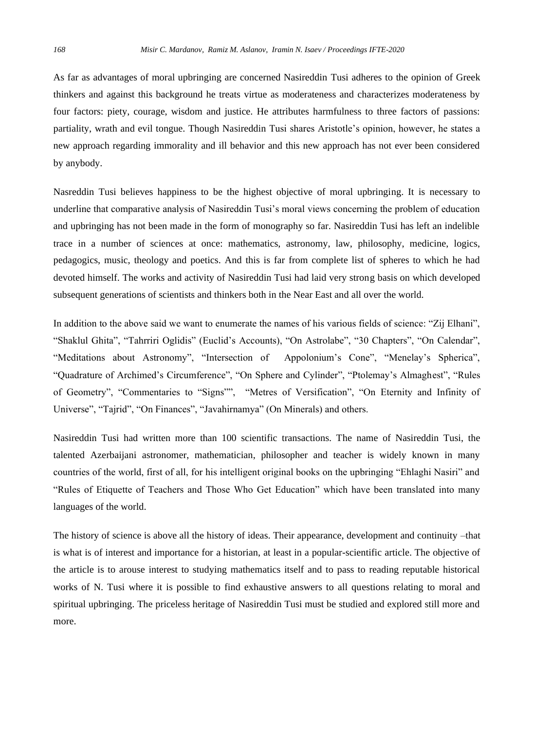As far as advantages of moral upbringing are concerned Nasireddin Tusi adheres to the opinion of Greek thinkers and against this background he treats virtue as moderateness and characterizes moderateness by four factors: piety, courage, wisdom and justice. He attributes harmfulness to three factors of passions: partiality, wrath and evil tongue. Though Nasireddin Tusi shares Aristotle's opinion, however, he states a new approach regarding immorality and ill behavior and this new approach has not ever been considered by anybody.

Nasreddin Tusi believes happiness to be the highest objective of moral upbringing. It is necessary to underline that comparative analysis of Nasireddin Tusi's moral views concerning the problem of education and upbringing has not been made in the form of monography so far. Nasireddin Tusi has left an indelible trace in a number of sciences at once: mathematics, astronomy, law, philosophy, medicine, logics, pedagogics, music, theology and poetics. And this is far from complete list of spheres to which he had devoted himself. The works and activity of Nasireddin Tusi had laid very strong basis on which developed subsequent generations of scientists and thinkers both in the Near East and all over the world.

In addition to the above said we want to enumerate the names of his various fields of science: "Zij Elhani", "Shaklul Ghita", "Tahrriri Oglidis" (Euclid's Accounts), "On Astrolabe", "30 Chapters", "On Calendar", "Meditations about Astronomy", "Intersection of Appolonium's Cone", "Menelay's Spherica", "Quadrature of Archimed's Circumference", "On Sphere and Cylinder", "Ptolemay's Almaghest", "Rules of Geometry", "Commentaries to "Signs"", "Metres of Versification", "On Eternity and Infinity of Universe", "Tajrid", "On Finances", "Javahirnamya" (On Minerals) and others.

Nasireddin Tusi had written more than 100 scientific transactions. The name of Nasireddin Tusi, the talented Azerbaijani astronomer, mathematician, philosopher and teacher is widely known in many countries of the world, first of all, for his intelligent original books on the upbringing "Ehlaghi Nasiri" and "Rules of Etiquette of Teachers and Those Who Get Education" which have been translated into many languages of the world.

The history of science is above all the history of ideas. Their appearance, development and continuity –that is what is of interest and importance for a historian, at least in a popular-scientific article. The objective of the article is to arouse interest to studying mathematics itself and to pass to reading reputable historical works of N. Tusi where it is possible to find exhaustive answers to all questions relating to moral and spiritual upbringing. The priceless heritage of Nasireddin Tusi must be studied and explored still more and more.